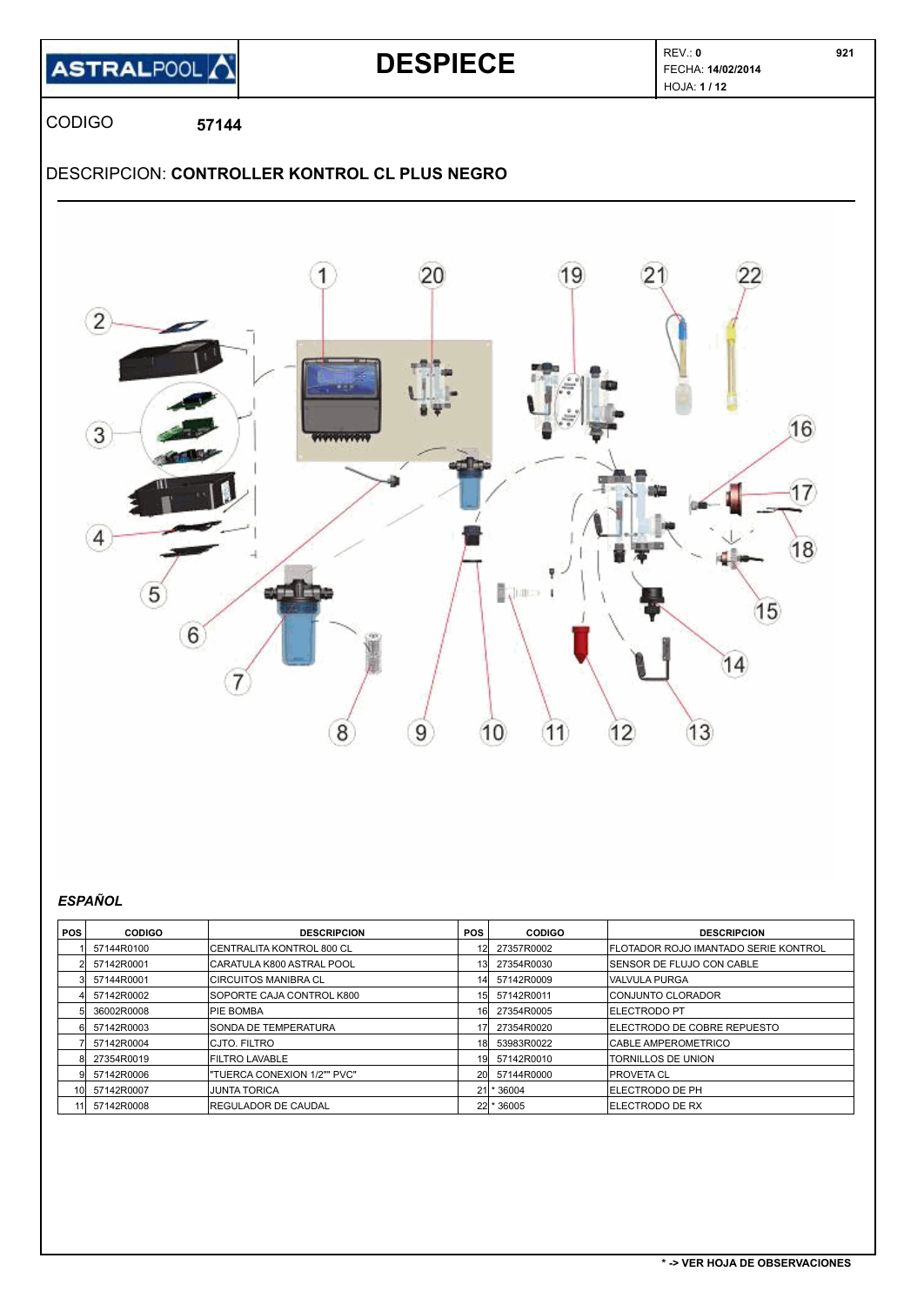### **ASTRALPOOL**

### REV.: **<sup>0</sup> DESPIECE** FECHA: **14/02/2014**

HOJA: **1 / 12** 

CODIGO **57144**

### DESCRIPCION: **CONTROLLER KONTROL CL PLUS NEGRO**



#### *ESPAÑOL*

| <b>POS</b>      | <b>CODIGO</b> | <b>DESCRIPCION</b>          | <b>POS</b>      | <b>CODIGO</b> | <b>DESCRIPCION</b>                           |
|-----------------|---------------|-----------------------------|-----------------|---------------|----------------------------------------------|
|                 | 57144R0100    | ICENTRALITA KONTROL 800 CL  |                 | 27357R0002    | <b>IFLOTADOR ROJO IMANTADO SERIE KONTROL</b> |
|                 | 57142R0001    | CARATULA K800 ASTRAL POOL   | 13 <sup>1</sup> | 27354R0030    | <b>ISENSOR DE FLUJO CON CABLE</b>            |
|                 | 57144R0001    | <b>CIRCUITOS MANIBRA CL</b> | 141             | 57142R0009    | lvalvula purga                               |
|                 | 57142R0002    | SOPORTE CAJA CONTROL K800   | 15 <sub>l</sub> | 57142R0011    | <b>ICONJUNTO CLORADOR</b>                    |
|                 | 36002R0008    | IPIE BOMBA                  | 16              | 27354R0005    | <b>IELECTRODO PT</b>                         |
|                 | 57142R0003    | SONDA DE TEMPERATURA        |                 | 27354R0020    | <b>IELECTRODO DE COBRE REPUESTO</b>          |
|                 | 57142R0004    | <b>CJTO, FILTRO</b>         | <b>18</b>       | 53983R0022    | <b>CABLE AMPEROMETRICO</b>                   |
|                 | 27354R0019    | <b>FILTRO LAVABLE</b>       | 19              | 57142R0010    | <b>TORNILLOS DE UNION</b>                    |
|                 | 57142R0006    | "TUERCA CONEXION 1/2"" PVC" | <b>20</b>       | 57144R0000    | <b>IPROVETA CL</b>                           |
| 10I             | 57142R0007    | <b>JUNTA TORICA</b>         | 21              | * 36004       | <b>IELECTRODO DE PH</b>                      |
| 11 <sup>1</sup> | 57142R0008    | <b>REGULADOR DE CAUDAL</b>  |                 | 22 * 36005    | <b>IELECTRODO DE RX</b>                      |

 **921**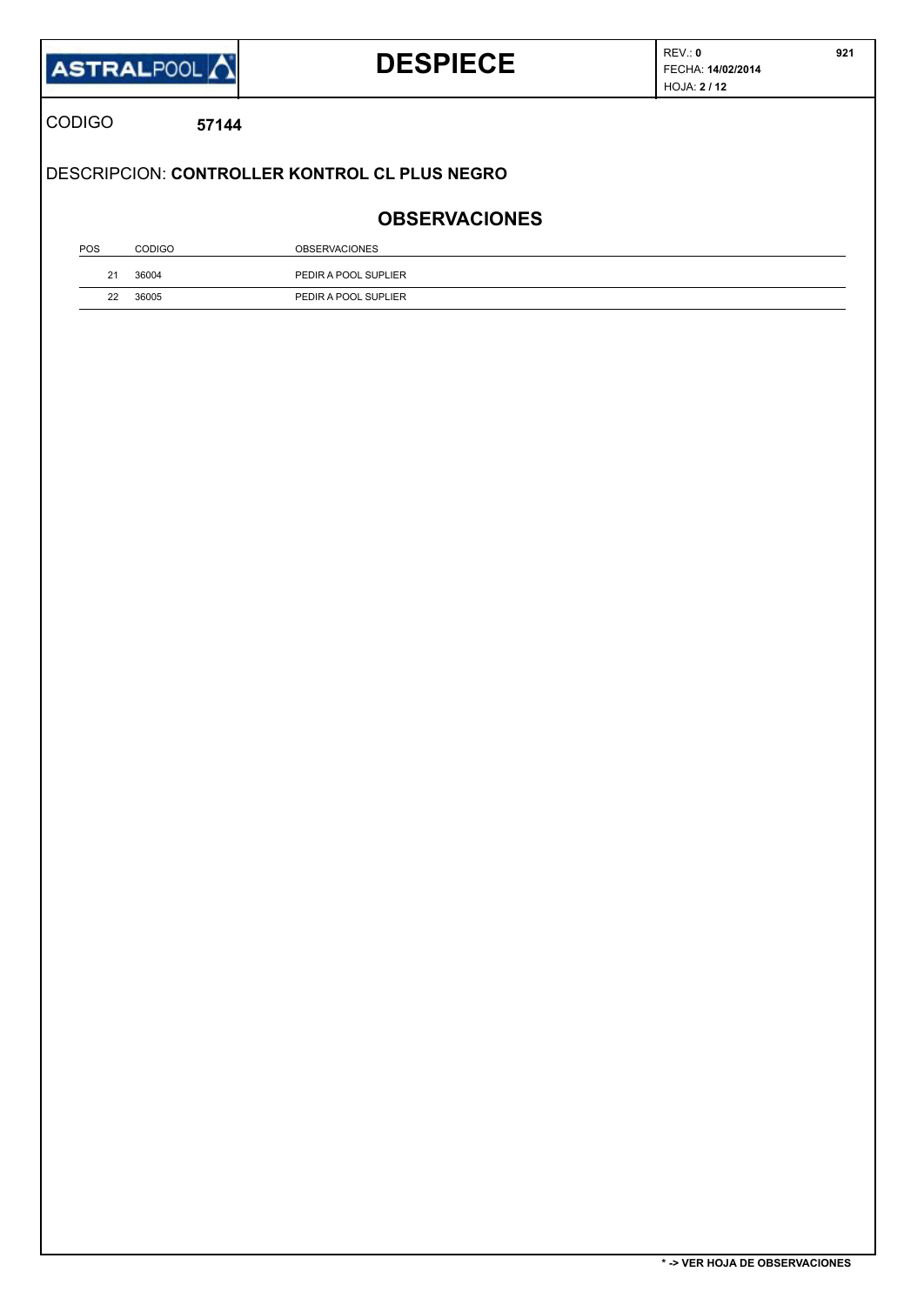|               | ASTRALPOOL | <b>DESPIECE</b>                               | REV: 0<br>FECHA: 14/02/2014<br><b>HOJA: 2/12</b> | 921 |
|---------------|------------|-----------------------------------------------|--------------------------------------------------|-----|
| <b>CODIGO</b> | 57144      |                                               |                                                  |     |
|               |            |                                               |                                                  |     |
|               |            | DESCRIPCION: CONTROLLER KONTROL CL PLUS NEGRO |                                                  |     |
|               |            | <b>OBSERVACIONES</b>                          |                                                  |     |
| POS           | CODIGO     | <b>OBSERVACIONES</b>                          |                                                  |     |
| 21            | 36004      | PEDIR A POOL SUPLIER                          |                                                  |     |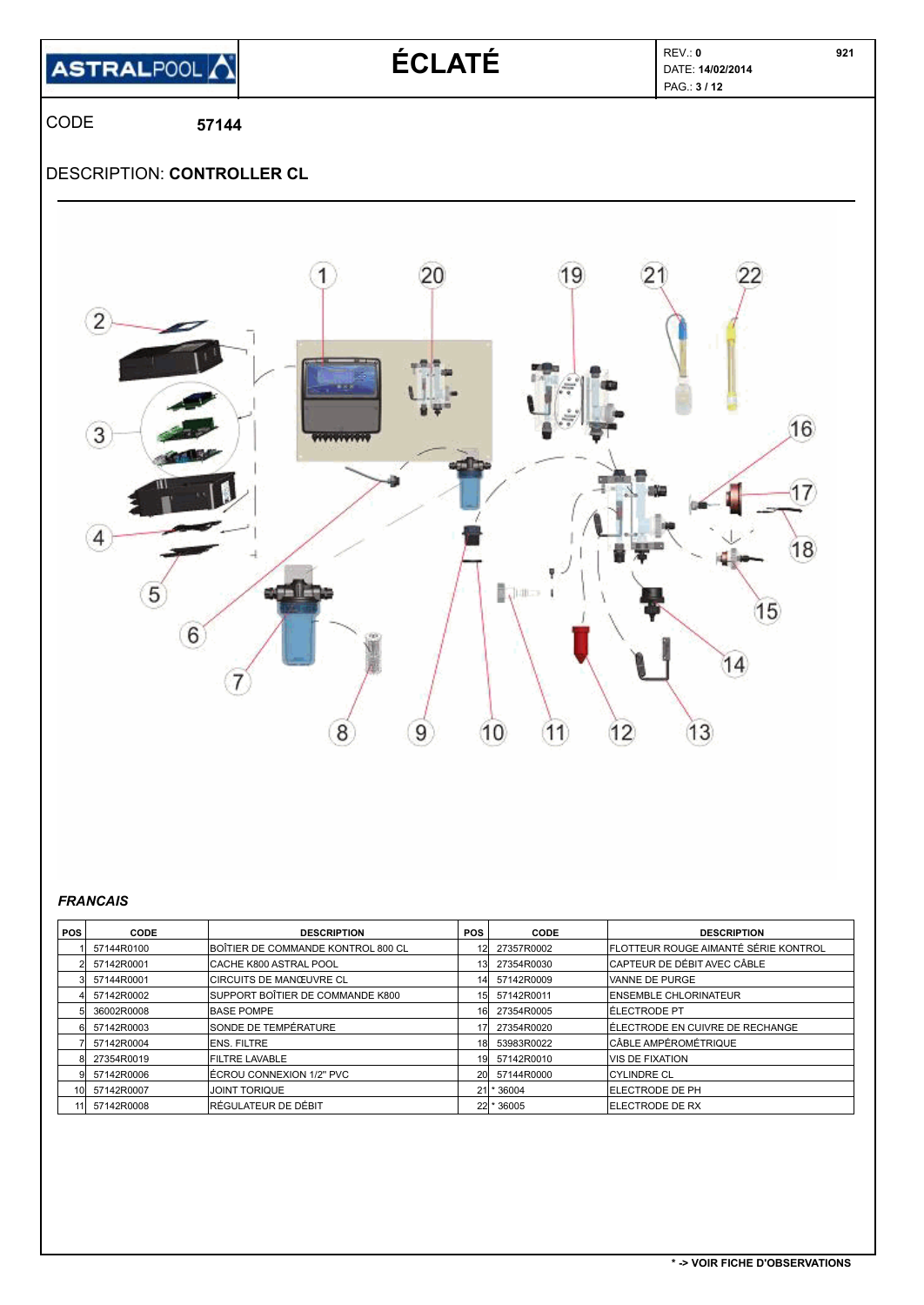

# **ÉCLATÉ DATE EV.: 0 DATE: 14/02/2014**

PAG.: **3 / 12** 

CODE **57144**

### DESCRIPTION: **CONTROLLER CL**



#### *FRANCAIS*

| POS I | CODE       | <b>DESCRIPTION</b>                 | <b>POS</b>      | CODE       | <b>DESCRIPTION</b>                           |
|-------|------------|------------------------------------|-----------------|------------|----------------------------------------------|
|       | 57144R0100 | BOÎTIER DE COMMANDE KONTROL 800 CL |                 | 27357R0002 | <b>IFLOTTEUR ROUGE AIMANTÉ SÉRIE KONTROL</b> |
|       | 57142R0001 | ICACHE K800 ASTRAL POOL            | 13 <sub>l</sub> | 27354R0030 | ICAPTEUR DE DÉBIT AVEC CÂBLE                 |
|       | 57144R0001 | <b>CIRCUITS DE MANŒUVRE CL</b>     | 141             | 57142R0009 | VANNE DE PURGE                               |
|       | 57142R0002 | SUPPORT BOÎTIER DE COMMANDE K800   | 15 <sub>l</sub> | 57142R0011 | <b>IENSEMBLE CHLORINATEUR</b>                |
|       | 36002R0008 | <b>BASE POMPE</b>                  | 161             | 27354R0005 | IÉLECTRODE PT                                |
|       | 57142R0003 | <b>SONDE DE TEMPÉRATURE</b>        |                 | 27354R0020 | IÉLECTRODE EN CUIVRE DE RECHANGE             |
|       | 57142R0004 | <b>IENS. FILTRE</b>                | 18l             | 53983R0022 | CÂBLE AMPÉROMÉTRIQUE                         |
|       | 27354R0019 | <b>FILTRE LAVABLE</b>              | 191             | 57142R0010 | IVIS DE FIXATION                             |
|       | 57142R0006 | IÉCROU CONNEXION 1/2" PVC          | <b>20</b>       | 57144R0000 | <b>CYLINDRE CL</b>                           |
| 101   | 57142R0007 | <b>JOINT TORIQUE</b>               | 21l             | * 36004    | <b>ELECTRODE DE PH</b>                       |
|       | 57142R0008 | <b>RÉGULATEUR DE DÉBIT</b>         |                 | 22 * 36005 | <b>IELECTRODE DE RX</b>                      |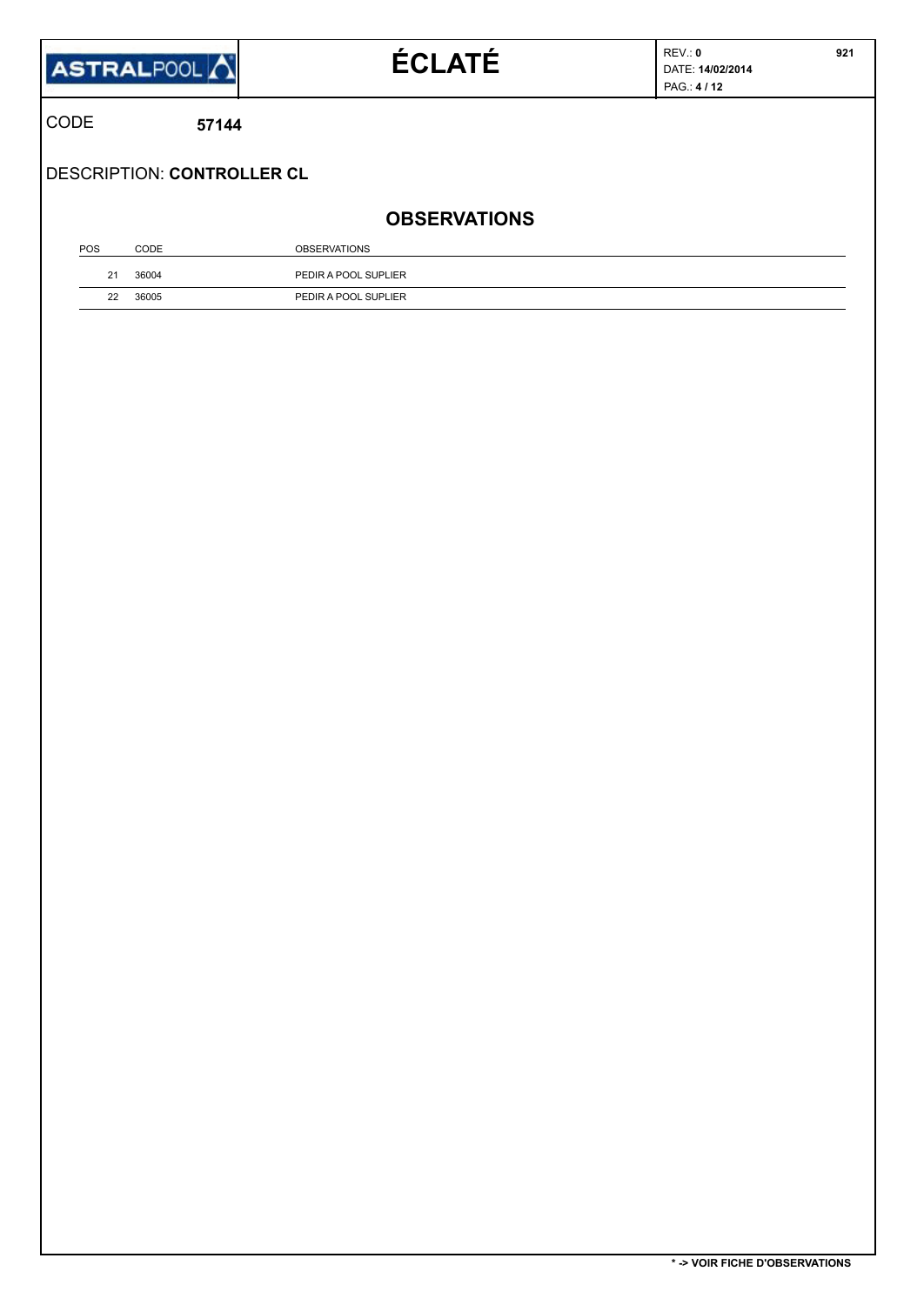|              | <b>ASTRALPOOL</b> | <b>ÉCLATÉ</b> |
|--------------|-------------------|---------------|
| <b>ICODE</b> | 57144             |               |

 **921**

DESCRIPTION: **CONTROLLER CL**

### **OBSERVATIONS**

| POS | CODE  | <b>OBSERVATIONS</b>  |
|-----|-------|----------------------|
|     | 36004 | PEDIR A POOL SUPLIER |
| 22  | 36005 | PEDIR A POOL SUPLIER |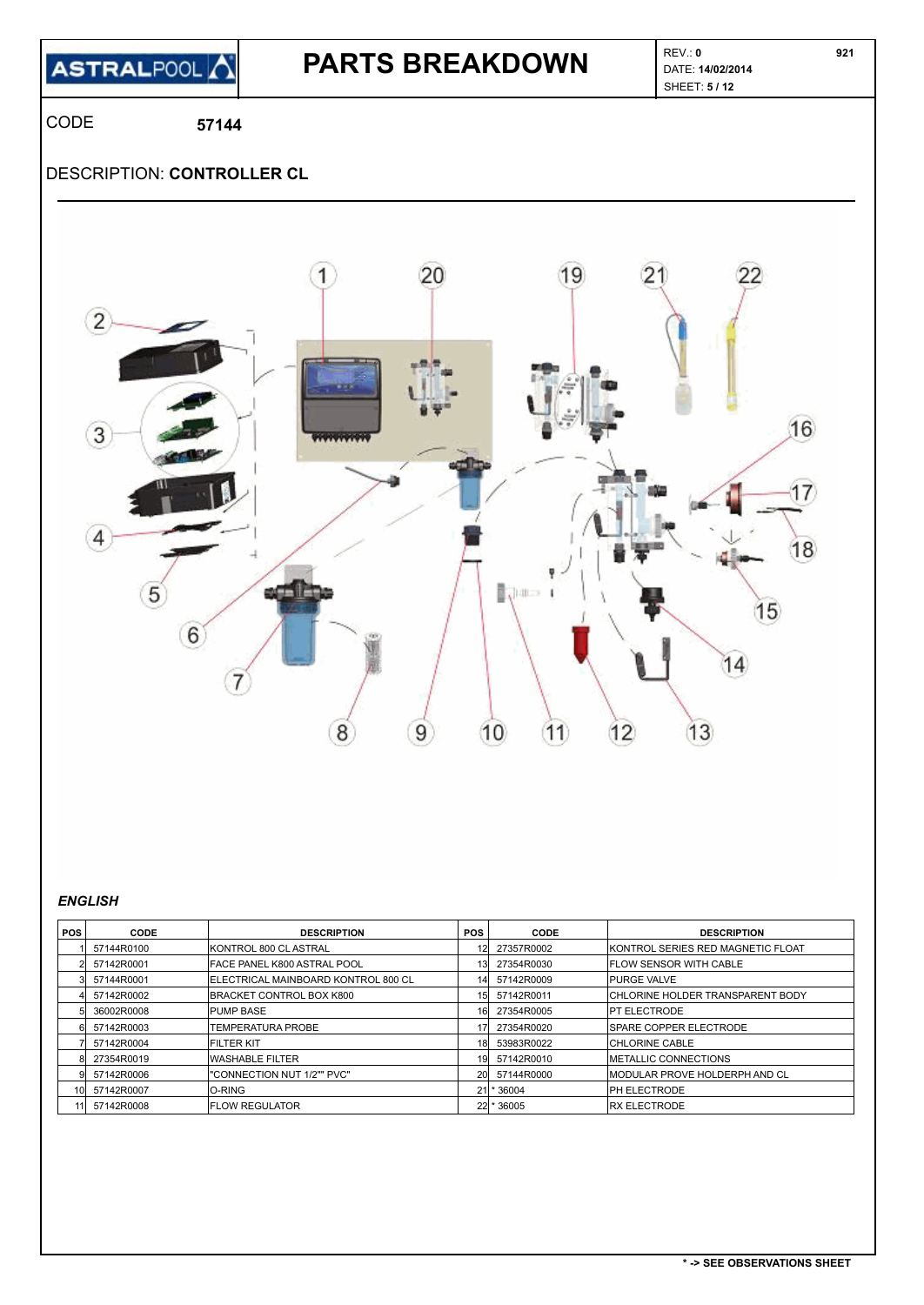**ASTRALPOOL** 

# **PARTS BREAKDOWN DATE:** 14/02/2014

SHEET: **5 / 12** 

CODE **57144**

### DESCRIPTION: **CONTROLLER CL**



#### *ENGLISH*

| POS I           | CODE       | <b>DESCRIPTION</b>                  | <b>POS</b>      | CODE         | <b>DESCRIPTION</b>                      |
|-----------------|------------|-------------------------------------|-----------------|--------------|-----------------------------------------|
|                 | 57144R0100 | KONTROL 800 CL ASTRAL               |                 | 27357R0002   | IKONTROL SERIES RED MAGNETIC FLOAT      |
|                 | 57142R0001 | FACE PANEL K800 ASTRAL POOL         | 13              | 27354R0030   | <b>IFLOW SENSOR WITH CABLE</b>          |
|                 | 57144R0001 | ELECTRICAL MAINBOARD KONTROL 800 CL | 14              | 57142R0009   | <b>IPURGE VALVE</b>                     |
|                 | 57142R0002 | BRACKET CONTROL BOX K800            | 15 <sub>l</sub> | 57142R0011   | <b>CHLORINE HOLDER TRANSPARENT BODY</b> |
|                 | 36002R0008 | <b>PUMP BASE</b>                    | 16              | 27354R0005   | <b>IPT ELECTRODE</b>                    |
|                 | 57142R0003 | TEMPERATURA PROBE                   |                 | 27354R0020   | <b>ISPARE COPPER ELECTRODE</b>          |
|                 | 57142R0004 | <b>FILTER KIT</b>                   | 18              | 53983R0022   | <b>CHLORINE CABLE</b>                   |
|                 | 27354R0019 | <b>WASHABLE FILTER</b>              | 19              | 57142R0010   | <b>IMETALLIC CONNECTIONS</b>            |
|                 | 57142R0006 | "CONNECTION NUT 1/2"" PVC"          | 20              | 57144R0000   | IMODULAR PROVE HOLDERPH AND CL          |
| 10 <sup>1</sup> | 57142R0007 | O-RING                              | 21              | * 36004      | <b>IPH ELECTRODE</b>                    |
| 11 I            | 57142R0008 | <b>IFLOW REGULATOR</b>              |                 | $22$ * 36005 | <b>IRX ELECTRODE</b>                    |

 **921**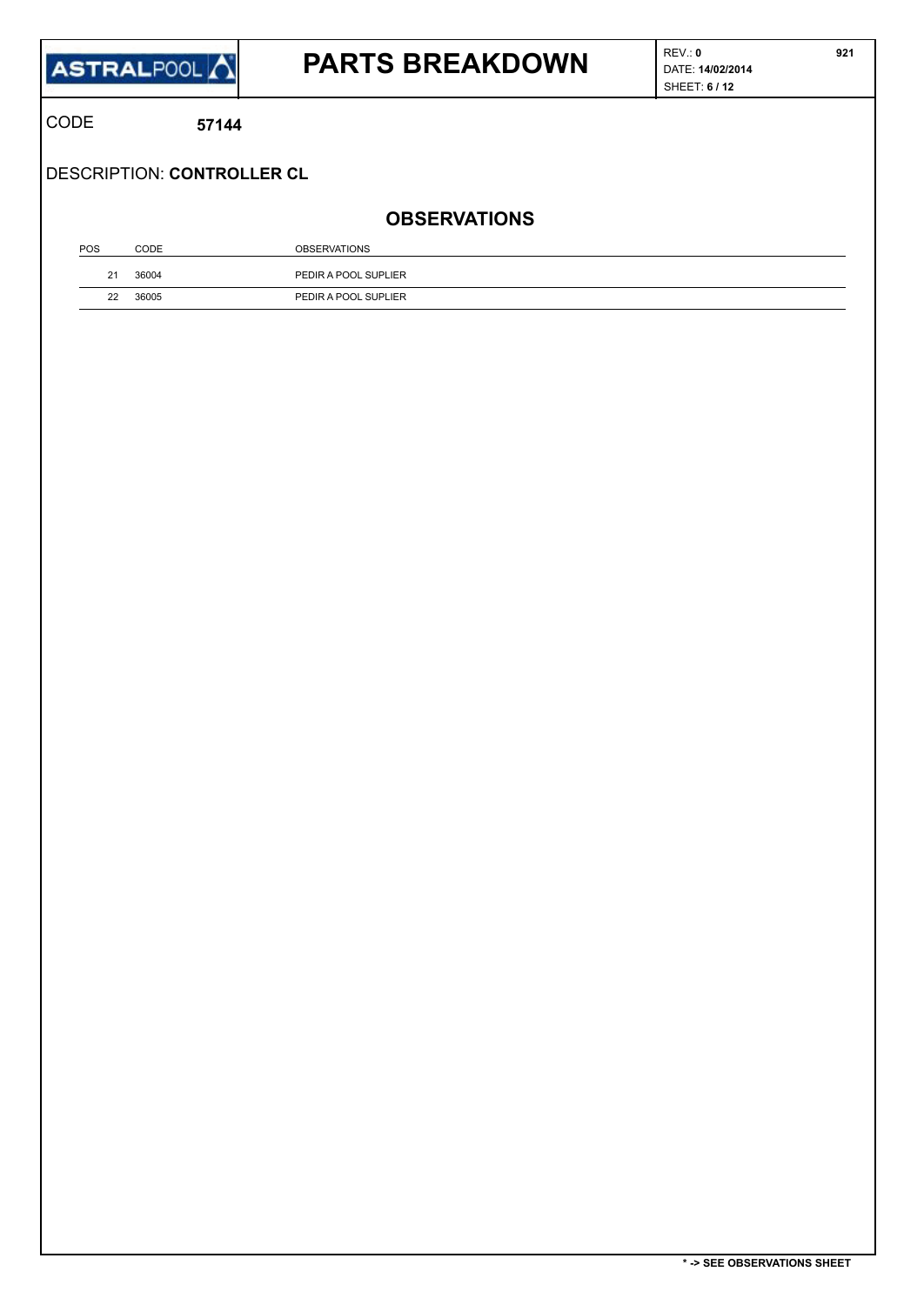

# **PARTS BREAKDOWN PARTS**

CODE **57144**

DESCRIPTION: **CONTROLLER CL**

### **OBSERVATIONS**

| POS    | CODE  | <b>OBSERVATIONS</b>  |
|--------|-------|----------------------|
| $\sim$ | 36004 | PEDIR A POOL SUPLIER |
| 22     | 36005 | PEDIR A POOL SUPLIER |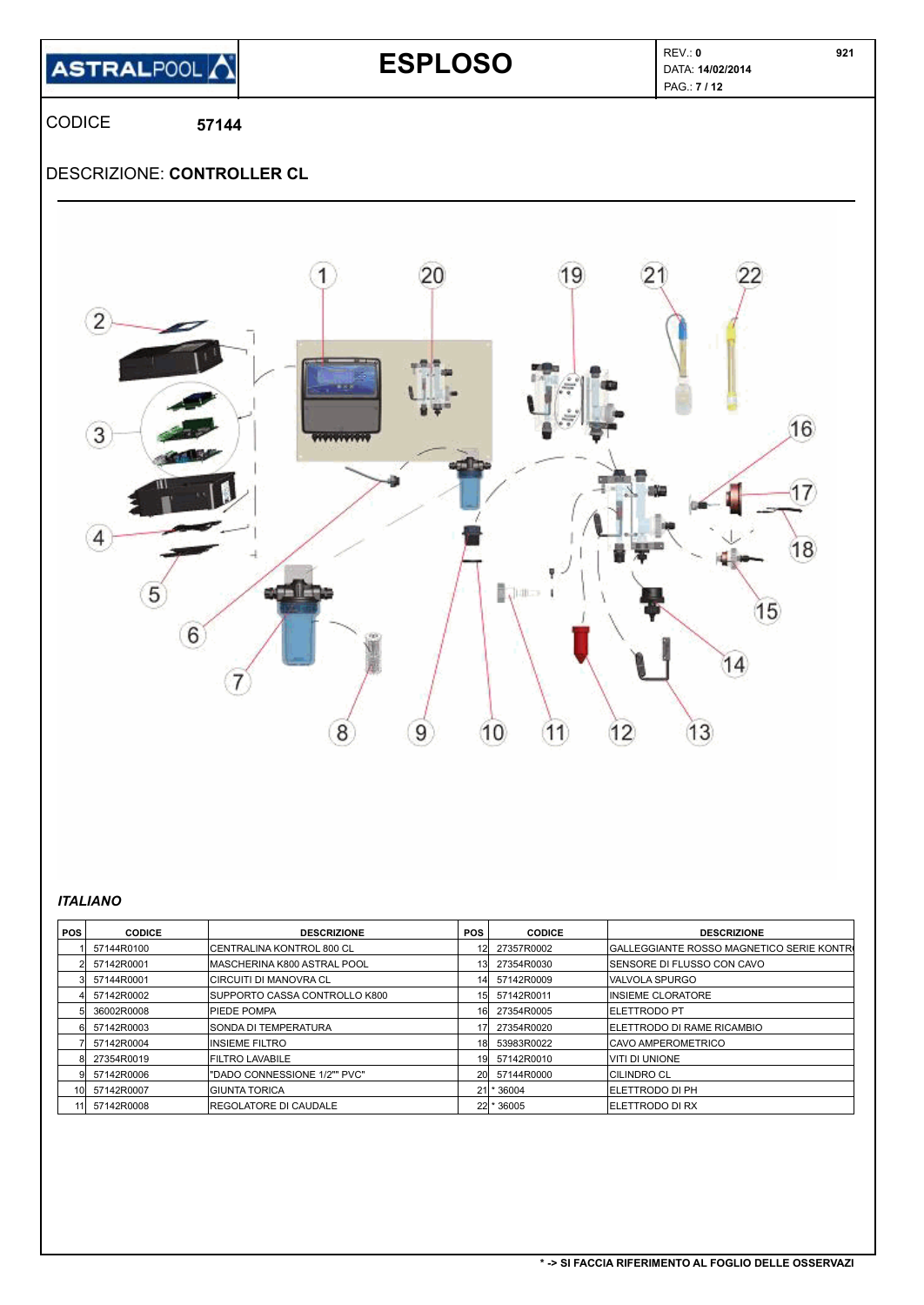

# **ESPLOSO** REV.: **0 DATA: 14/02/2014**

PAG.: **7 / 12** 

CODICE **57144**

### DESCRIZIONE: **CONTROLLER CL**



#### *ITALIANO*

| <b>POS</b> | <b>CODICE</b> | <b>DESCRIZIONE</b>            | <b>POS</b> | <b>CODICE</b> | <b>DESCRIZIONE</b>                         |
|------------|---------------|-------------------------------|------------|---------------|--------------------------------------------|
|            | 57144R0100    | ICENTRALINA KONTROL 800 CL    |            | 27357R0002    | IGALLEGGIANTE ROSSO MAGNETICO SERIE KONTRO |
|            | 57142R0001    | MASCHERINA K800 ASTRAL POOL   | 131        | 27354R0030    | <b>ISENSORE DI FLUSSO CON CAVO</b>         |
|            | 57144R0001    | <b>CIRCUITI DI MANOVRA CL</b> | 141        | 57142R0009    | <b>IVALVOLA SPURGO</b>                     |
|            | 57142R0002    | SUPPORTO CASSA CONTROLLO K800 | 15I        | 57142R0011    | IINSIEME CLORATORE                         |
|            | 36002R0008    | <b>PIEDE POMPA</b>            | 161        | 27354R0005    | <b>IELETTRODO PT</b>                       |
|            | 57142R0003    | SONDA DI TEMPERATURA          |            | 27354R0020    | <b>IELETTRODO DI RAME RICAMBIO</b>         |
|            | 57142R0004    | <b>INSIEME FILTRO</b>         | 181        | 53983R0022    | ICAVO AMPEROMETRICO                        |
|            | 27354R0019    | <b>FILTRO LAVABILE</b>        | 191        | 57142R0010    | VITI DI UNIONE                             |
|            | 57142R0006    | "DADO CONNESSIONE 1/2"" PVC"  | <b>201</b> | 57144R0000    | <b>CILINDRO CL</b>                         |
| 101        | 57142R0007    | IGIUNTA TORICA                |            | 21 * 36004    | <b>IELETTRODO DI PH</b>                    |
|            | 57142R0008    | <b>IREGOLATORE DI CAUDALE</b> |            | 22 * 36005    | <b>IELETTRODO DI RX</b>                    |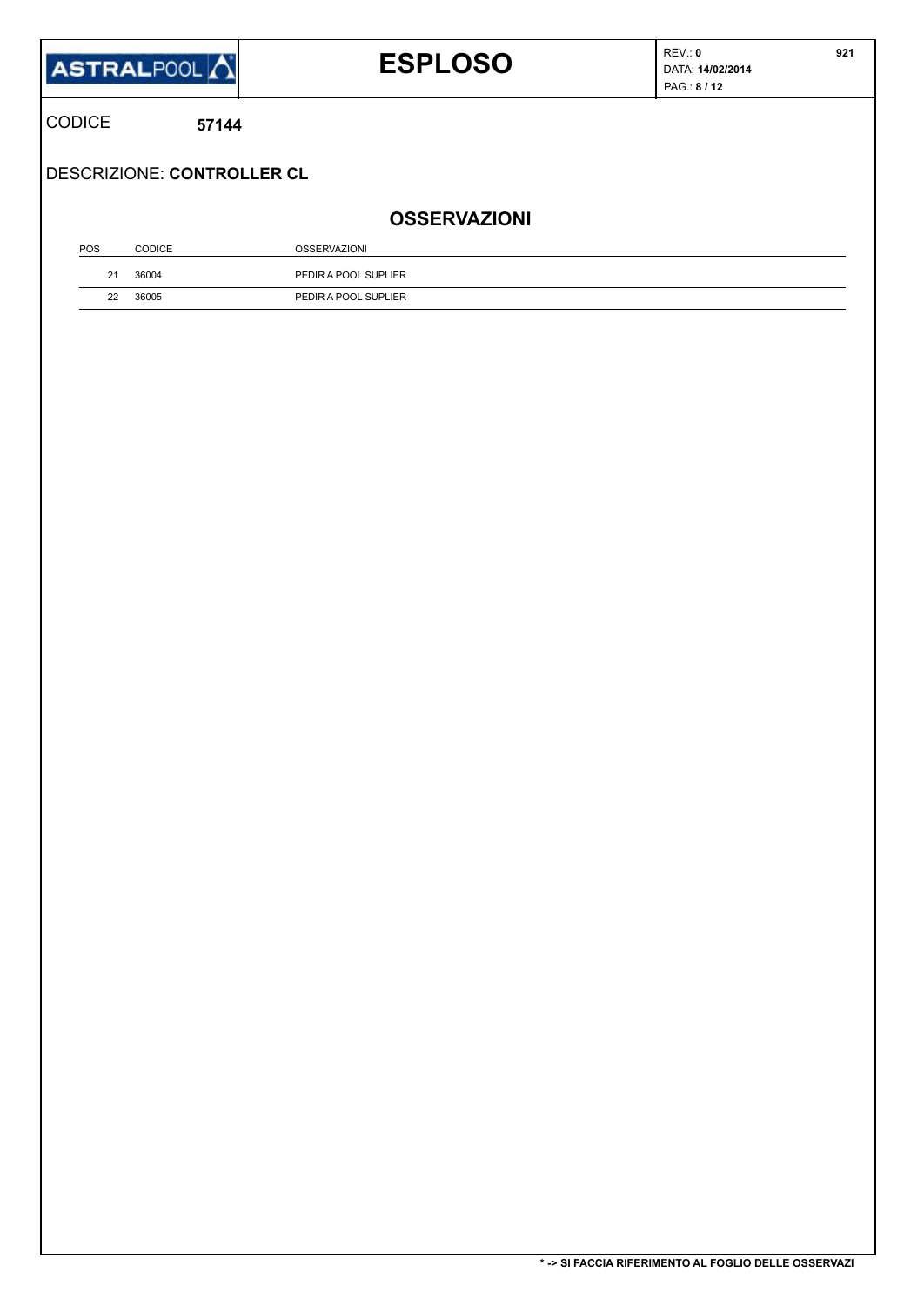|               | ASTRALPOOL <sup>1</sup>    | <b>ESPLOSO</b>       | REV: 0<br>DATA: 14/02/2014<br>PAG.: 8 / 12 | 921 |
|---------------|----------------------------|----------------------|--------------------------------------------|-----|
| <b>CODICE</b> | 57144                      |                      |                                            |     |
|               | DESCRIZIONE: CONTROLLER CL |                      |                                            |     |
|               |                            | <b>OSSERVAZIONI</b>  |                                            |     |
|               |                            | <b>OSSERVAZIONI</b>  |                                            |     |
| POS           | <b>CODICE</b>              |                      |                                            |     |
| 21            | 36004                      | PEDIR A POOL SUPLIER |                                            |     |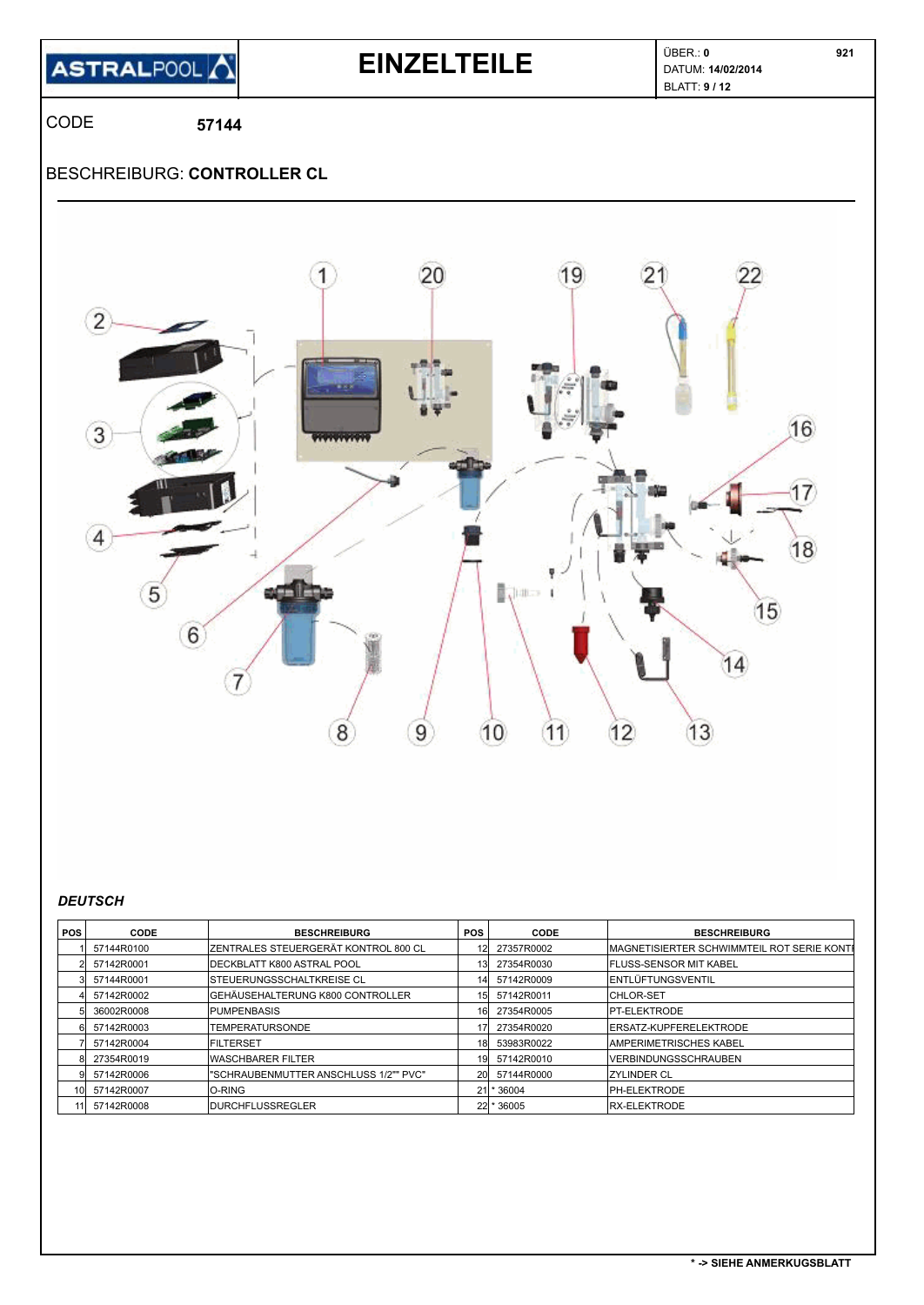

### **EINZELTEILE** <br>  $\begin{bmatrix}\n\text{UBER.: 0} \\
\text{DATA: 14/02/2014}\n\end{bmatrix}$

BLATT: **9 / 12** 

CODE **57144**

### BESCHREIBURG: **CONTROLLER CL**



#### *DEUTSCH*

| POS I | CODE          | <b>BESCHREIBURG</b>                          | <b>POS</b> | CODE          | <b>BESCHREIBURG</b>                                |
|-------|---------------|----------------------------------------------|------------|---------------|----------------------------------------------------|
|       | 57144R0100    | <b>IZENTRALES STEUERGERÄT KONTROL 800 CL</b> |            | 12 27357R0002 | <b>IMAGNETISIERTER SCHWIMMTEIL ROT SERIE KONTE</b> |
|       | 2 57142R0001  | <b>IDECKBLATT K800 ASTRAL POOL</b>           | 131        | 27354R0030    | <b>IFLUSS-SENSOR MIT KABEL</b>                     |
|       | 57144R0001    | <b>ISTEUERUNGSSCHALTKREISE CL</b>            | 141        | 57142R0009    | <b>ENTLÜFTUNGSVENTIL</b>                           |
|       | 57142R0002    | <b>GEHÄUSEHALTERUNG K800 CONTROLLER</b>      | 15I        | 57142R0011    | <b>ICHLOR-SET</b>                                  |
|       | 36002R0008    | <b>PUMPENBASIS</b>                           | 161        | 27354R0005    | <b>IPT-ELEKTRODE</b>                               |
| 61    | 57142R0003    | <b>TEMPERATURSONDE</b>                       |            | 27354R0020    | <b>IERSATZ-KUPFERELEKTRODE</b>                     |
|       | 57142R0004    | <b>IFILTERSET</b>                            | 181        | 53983R0022    | <b>AMPERIMETRISCHES KABEL</b>                      |
| 81.   | 27354R0019    | <b>WASCHBARER FILTER</b>                     | 191        | 57142R0010    | <b>IVERBINDUNGSSCHRAUBEN</b>                       |
| 91    | 57142R0006    | "SCHRAUBENMUTTER ANSCHLUSS 1/2"" PVC"        | 20I        | 57144R0000    | <b>IZYLINDER CL</b>                                |
|       | 10 57142R0007 | <b>IO-RING</b>                               |            | 21 * 36004    | <b>IPH-ELEKTRODE</b>                               |
|       | 11 57142R0008 | <b>IDURCHFLUSSREGLER</b>                     |            | 22 * 36005    | <b>IRX-ELEKTRODE</b>                               |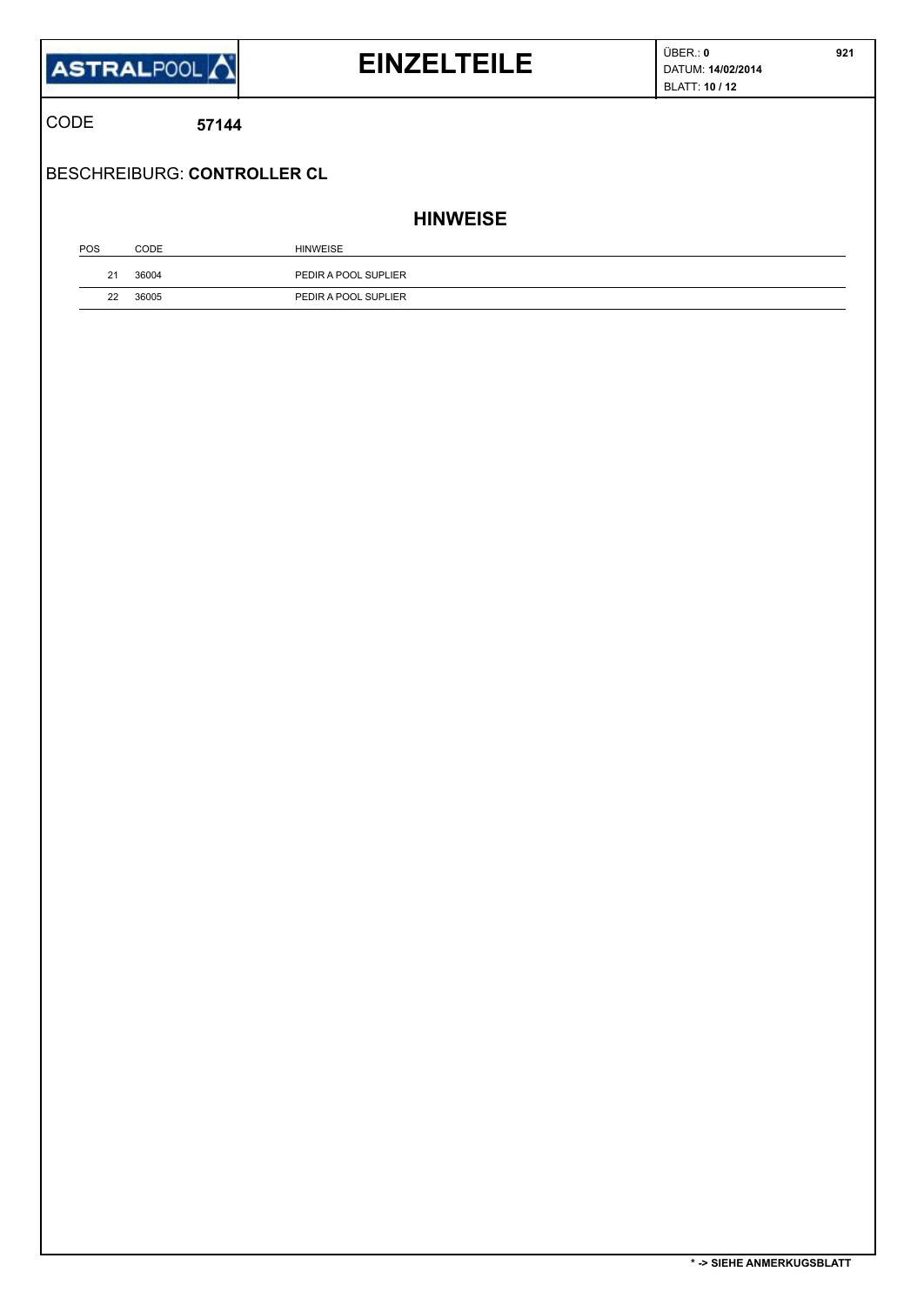

# **EINZELTEILE DATUM:** 14/02/2014

 **921**

CODE **57144**

BESCHREIBURG: **CONTROLLER CL**

**HINWEISE**

| POS | CODE  | <b>HINWEISE</b>      |
|-----|-------|----------------------|
| 21  | 36004 | PEDIR A POOL SUPLIER |
| 22  | 36005 | PEDIR A POOL SUPLIER |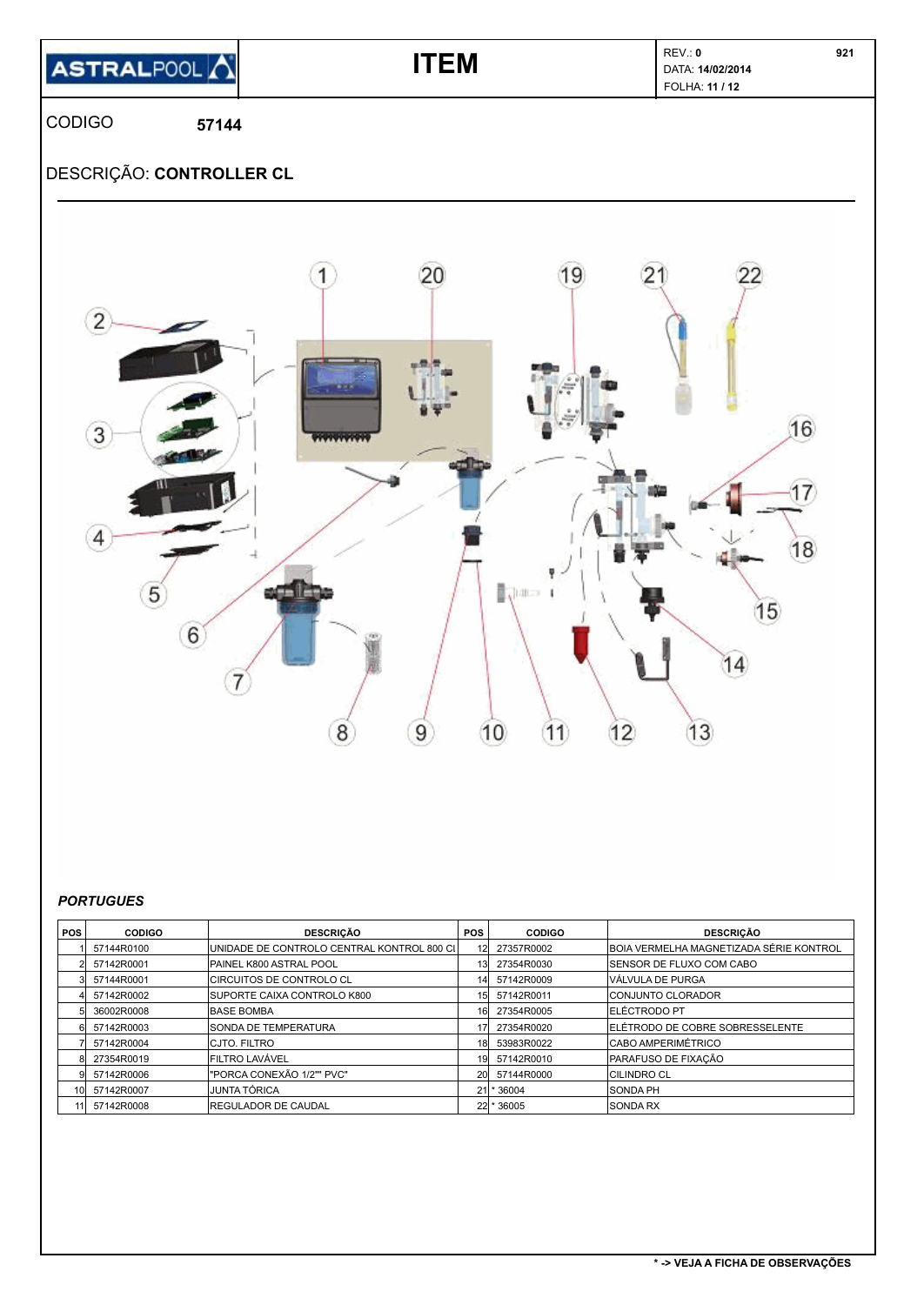| ASTRALPOOL A |  |
|--------------|--|
|              |  |

### **ITEM ITEM DATA: 14/02/2014** FOLHA: **11 / 12**

 **921**

CODIGO **57144**

### DESCRIÇÃO: **CONTROLLER CL**



#### *PORTUGUES*

| <b>POS</b>      | <b>CODIGO</b> | <b>DESCRICÃO</b>                             | <b>POS</b> | <b>CODIGO</b> | <b>DESCRICÃO</b>                        |
|-----------------|---------------|----------------------------------------------|------------|---------------|-----------------------------------------|
|                 | 57144R0100    | IUNIDADE DE CONTROLO CENTRAL KONTROL 800 CII |            | 27357R0002    | BOIA VERMELHA MAGNETIZADA SÉRIE KONTROL |
|                 | 57142R0001    | PAINEL K800 ASTRAL POOL                      |            | 27354R0030    | <b>ISENSOR DE FLUXO COM CABO</b>        |
|                 | 57144R0001    | CIRCUITOS DE CONTROLO CL                     |            | 57142R0009    | <b>VÁLVULA DE PURGA</b>                 |
|                 | 57142R0002    | <b>ISUPORTE CAIXA CONTROLO K800</b>          | 15I        | 57142R0011    | <b>ICONJUNTO CLORADOR</b>               |
|                 | 36002R0008    | <b>BASE BOMBA</b>                            |            | 27354R0005    | <b>IELÉCTRODO PT</b>                    |
|                 | 57142R0003    | <b>SONDA DE TEMPERATURA</b>                  |            | 27354R0020    | ELÉTRODO DE COBRE SOBRESSELENTE         |
|                 | 57142R0004    | ICJTO. FILTRO                                |            | 53983R0022    | <b>CABO AMPERIMÉTRICO</b>               |
|                 | 27354R0019    | <b>FILTRO LAVÁVEL</b>                        | 19         | 57142R0010    | PARAFUSO DE FIXAÇÃO                     |
|                 | 57142R0006    | "PORCA CONEXÃO 1/2"" PVC"                    | <b>20l</b> | 57144R0000    | <b>CILINDRO CL</b>                      |
| 10 <sup>1</sup> | 57142R0007    | IJUNTA TÓRICA                                |            | $21$ * 36004  | <b>SONDA PH</b>                         |
| 111             | 57142R0008    | <b>IREGULADOR DE CAUDAL</b>                  |            | 22 * 36005    | <b>SONDA RX</b>                         |